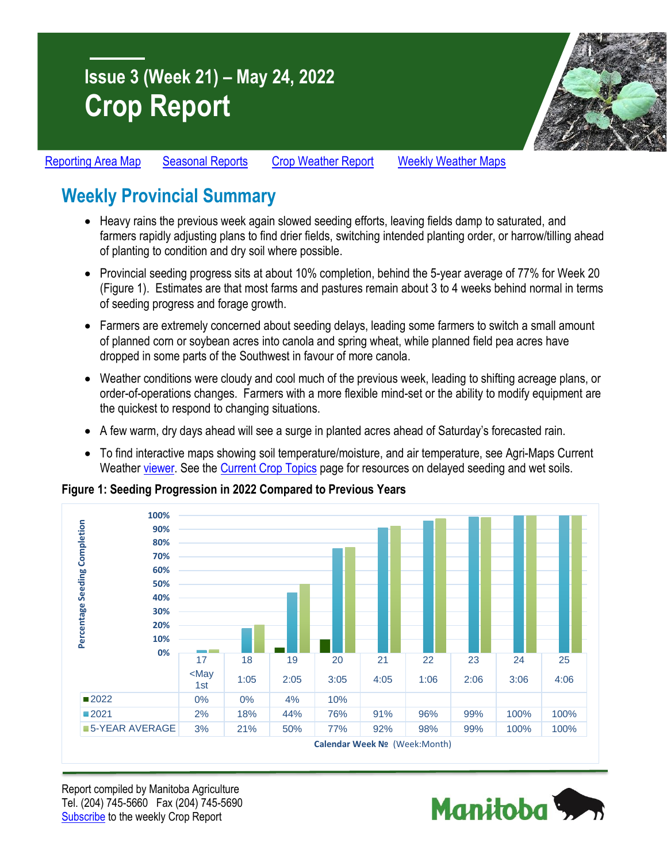# **Issue 3 (Week 21) – May 24, 2022 Crop Report**



[Reporting Area Map](https://www.gov.mb.ca/agriculture/crops/seasonal-reports/pubs/crop-report-map.pdf) [Seasonal Reports](https://www.gov.mb.ca/agriculture/crops/seasonal-reports/index.html) [Crop Weather Report](https://www.gov.mb.ca/agriculture/weather/weather-report-archive.html) [Weekly Weather Maps](https://www.gov.mb.ca/agriculture/weather/weather-conditions-and-reports.html)

# **Weekly Provincial Summary**

- Heavy rains the previous week again slowed seeding efforts, leaving fields damp to saturated, and farmers rapidly adjusting plans to find drier fields, switching intended planting order, or harrow/tilling ahead of planting to condition and dry soil where possible.
- Provincial seeding progress sits at about 10% completion, behind the 5-year average of 77% for Week 20 (Figure 1). Estimates are that most farms and pastures remain about 3 to 4 weeks behind normal in terms of seeding progress and forage growth.
- Farmers are extremely concerned about seeding delays, leading some farmers to switch a small amount of planned corn or soybean acres into canola and spring wheat, while planned field pea acres have dropped in some parts of the Southwest in favour of more canola.
- Weather conditions were cloudy and cool much of the previous week, leading to shifting acreage plans, or order-of-operations changes. Farmers with a more flexible mind-set or the ability to modify equipment are the quickest to respond to changing situations.
- A few warm, dry days ahead will see a surge in planted acres ahead of Saturday's forecasted rain.
- To find interactive maps showing soil temperature/moisture, and air temperature, see Agri-Maps Current Weather [viewer.](https://www.gov.mb.ca/agriculture/weather/current-weather-viewer.html) See the [Current Crop Topics](https://gov.mb.ca/agriculture/crops/seasonal-reports/current-crop-topics.html) page for resources on delayed seeding and wet soils.

**Figure 1: Seeding Progression in 2022 Compared to Previous Years**



Report compiled by Manitoba Agriculture Tel. (204) 745-5660 Fax (204) 745-5690 [Subscribe](https://www.gov.mb.ca/agriculture/crops/seasonal-reports/crop-report-archive/) to the weekly Crop Report

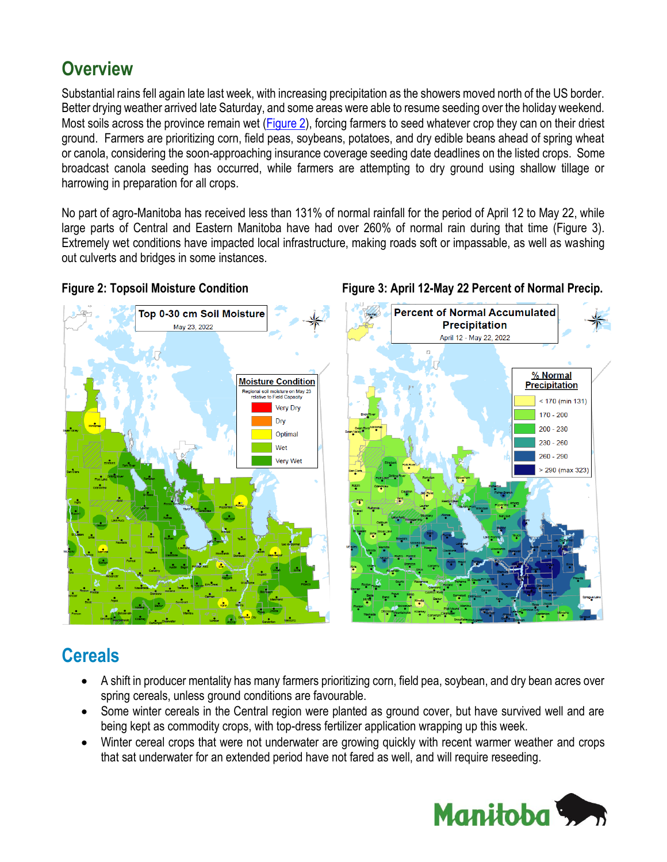### **Overview**

Substantial rains fell again late last week, with increasing precipitation as the showers moved north of the US border. Better drying weather arrived late Saturday, and some areas were able to resume seeding over the holiday weekend. Most soils across the province remain wet [\(Figure 2\)](https://www.gov.mb.ca/agriculture/weather/pubs/soil-moisture-30cm.pdf), forcing farmers to seed whatever crop they can on their driest ground. Farmers are prioritizing corn, field peas, soybeans, potatoes, and dry edible beans ahead of spring wheat or canola, considering the soon-approaching insurance coverage seeding date deadlines on the listed crops. Some broadcast canola seeding has occurred, while farmers are attempting to dry ground using shallow tillage or harrowing in preparation for all crops.

No part of agro-Manitoba has received less than 131% of normal rainfall for the period of April 12 to May 22, while large parts of Central and Eastern Manitoba have had over 260% of normal rain during that time (Figure 3). Extremely wet conditions have impacted local infrastructure, making roads soft or impassable, as well as washing out culverts and bridges in some instances.

### **Percent of Normal Accumulated** Top 0-30 cm Soil Moisture **Precipitation** May 23, 2022 April 12 - May 22, 2022 % Normal **Moisture Condition Precipitation** ional soil moisture on May 23<br>relative to Field Capacity  $< 170$  (min 131) Very Dry  $170 - 200$ Dry  $200 - 230$ Optimal  $230 - 260$ Wet  $260 - 290$ Very Wet  $> 290$  (max 323)

### Figure 2: Topsoil Moisture Condition Figure 3: April 12-May 22 Percent of Normal Precip.

### **Cereals**

- A shift in producer mentality has many farmers prioritizing corn, field pea, soybean, and dry bean acres over spring cereals, unless ground conditions are favourable.
- Some winter cereals in the Central region were planted as ground cover, but have survived well and are being kept as commodity crops, with top-dress fertilizer application wrapping up this week.
- Winter cereal crops that were not underwater are growing quickly with recent warmer weather and crops that sat underwater for an extended period have not fared as well, and will require reseeding.

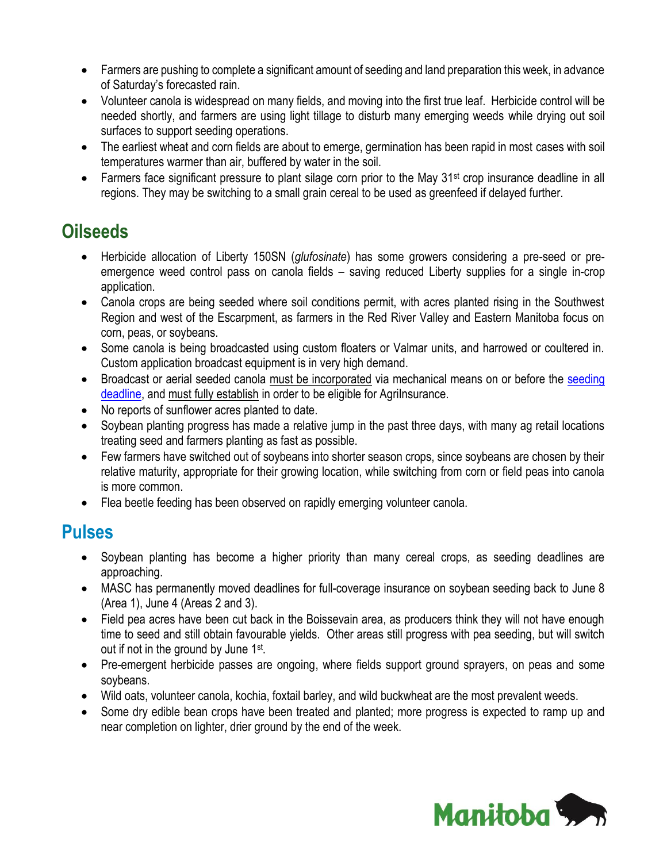- Farmers are pushing to complete a significant amount of seeding and land preparation this week, in advance of Saturday's forecasted rain.
- Volunteer canola is widespread on many fields, and moving into the first true leaf. Herbicide control will be needed shortly, and farmers are using light tillage to disturb many emerging weeds while drying out soil surfaces to support seeding operations.
- The earliest wheat and corn fields are about to emerge, germination has been rapid in most cases with soil temperatures warmer than air, buffered by water in the soil.
- Farmers face significant pressure to plant silage corn prior to the May 31<sup>st</sup> crop insurance deadline in all regions. They may be switching to a small grain cereal to be used as greenfeed if delayed further.

### **Oilseeds**

- Herbicide allocation of Liberty 150SN (*glufosinate*) has some growers considering a pre-seed or preemergence weed control pass on canola fields – saving reduced Liberty supplies for a single in-crop application.
- Canola crops are being seeded where soil conditions permit, with acres planted rising in the Southwest Region and west of the Escarpment, as farmers in the Red River Valley and Eastern Manitoba focus on corn, peas, or soybeans.
- Some canola is being broadcasted using custom floaters or Valmar units, and harrowed or coultered in. Custom application broadcast equipment is in very high demand.
- Broadcast or aerial seeded canola must be incorporated via mechanical means on or before the seeding [deadline,](https://www.masc.mb.ca/masc.nsf/crop_seeding_deadlines.html) and must fully establish in order to be eligible for AgriInsurance.
- No reports of sunflower acres planted to date.
- Soybean planting progress has made a relative jump in the past three days, with many ag retail locations treating seed and farmers planting as fast as possible.
- Few farmers have switched out of soybeans into shorter season crops, since soybeans are chosen by their relative maturity, appropriate for their growing location, while switching from corn or field peas into canola is more common.
- Flea beetle feeding has been observed on rapidly emerging volunteer canola.

### **Pulses**

- Soybean planting has become a higher priority than many cereal crops, as seeding deadlines are approaching.
- MASC has permanently moved deadlines for full-coverage insurance on soybean seeding back to June 8 (Area 1), June 4 (Areas 2 and 3).
- Field pea acres have been cut back in the Boissevain area, as producers think they will not have enough time to seed and still obtain favourable yields. Other areas still progress with pea seeding, but will switch out if not in the ground by June 1st.
- Pre-emergent herbicide passes are ongoing, where fields support ground sprayers, on peas and some soybeans.
- Wild oats, volunteer canola, kochia, foxtail barley, and wild buckwheat are the most prevalent weeds.
- Some dry edible bean crops have been treated and planted; more progress is expected to ramp up and near completion on lighter, drier ground by the end of the week.

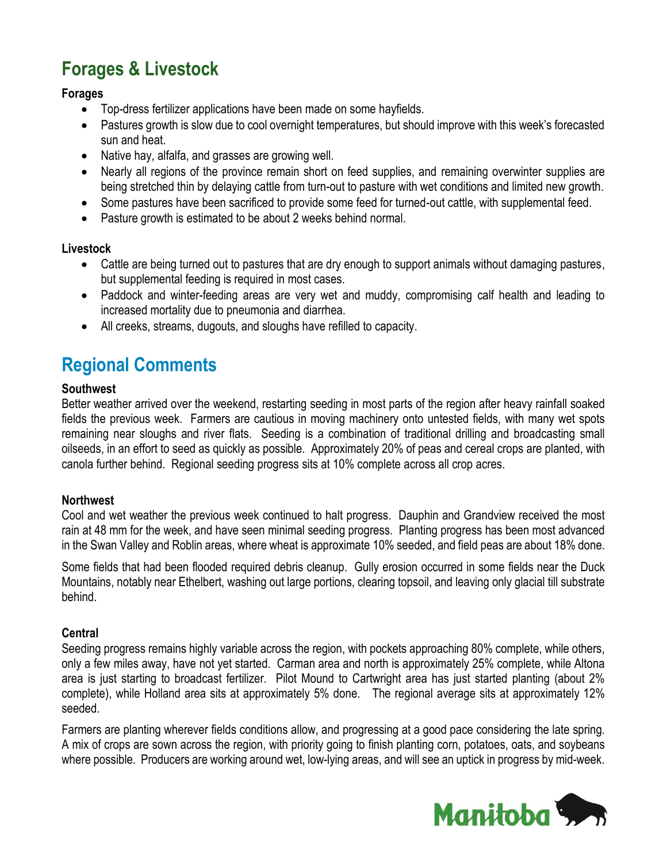## **Forages & Livestock**

### **Forages**

- Top-dress fertilizer applications have been made on some hayfields.
- Pastures growth is slow due to cool overnight temperatures, but should improve with this week's forecasted sun and heat.
- Native hay, alfalfa, and grasses are growing well.
- Nearly all regions of the province remain short on feed supplies, and remaining overwinter supplies are being stretched thin by delaying cattle from turn-out to pasture with wet conditions and limited new growth.
- Some pastures have been sacrificed to provide some feed for turned-out cattle, with supplemental feed.
- Pasture growth is estimated to be about 2 weeks behind normal.

### **Livestock**

- Cattle are being turned out to pastures that are dry enough to support animals without damaging pastures, but supplemental feeding is required in most cases.
- Paddock and winter-feeding areas are very wet and muddy, compromising calf health and leading to increased mortality due to pneumonia and diarrhea.
- All creeks, streams, dugouts, and sloughs have refilled to capacity.

### **Regional Comments**

### **Southwest**

Better weather arrived over the weekend, restarting seeding in most parts of the region after heavy rainfall soaked fields the previous week. Farmers are cautious in moving machinery onto untested fields, with many wet spots remaining near sloughs and river flats. Seeding is a combination of traditional drilling and broadcasting small oilseeds, in an effort to seed as quickly as possible. Approximately 20% of peas and cereal crops are planted, with canola further behind. Regional seeding progress sits at 10% complete across all crop acres.

#### **Northwest**

Cool and wet weather the previous week continued to halt progress. Dauphin and Grandview received the most rain at 48 mm for the week, and have seen minimal seeding progress. Planting progress has been most advanced in the Swan Valley and Roblin areas, where wheat is approximate 10% seeded, and field peas are about 18% done.

Some fields that had been flooded required debris cleanup. Gully erosion occurred in some fields near the Duck Mountains, notably near Ethelbert, washing out large portions, clearing topsoil, and leaving only glacial till substrate behind.

#### **Central**

Seeding progress remains highly variable across the region, with pockets approaching 80% complete, while others, only a few miles away, have not yet started. Carman area and north is approximately 25% complete, while Altona area is just starting to broadcast fertilizer. Pilot Mound to Cartwright area has just started planting (about 2% complete), while Holland area sits at approximately 5% done. The regional average sits at approximately 12% seeded.

Farmers are planting wherever fields conditions allow, and progressing at a good pace considering the late spring. A mix of crops are sown across the region, with priority going to finish planting corn, potatoes, oats, and soybeans where possible. Producers are working around wet, low-lying areas, and will see an uptick in progress by mid-week.